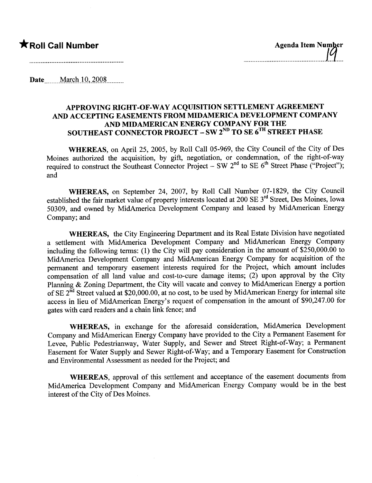Date March 10, 2008

### APPROVING RIGHT-OF-WAY ACQUISITION SETTLEMENT AGREEMENT AND ACCEPTING EASEMENTS FROM MIDAMERICA DEVELOPMENT COMPANY AND MIDAMERICAN ENERGY COMPANY FOR THE SOUTHEAST CONNECTOR PROJECT - SW  $2^{ND}$  TO SE  $6^{TH}$  STREET PHASE

WHEREAS, on April 25, 2005, by Roll Call 05-969, the City Council of the City of Des Moines authorized the acquisition, by gift, negotiation, or condemnation, of the right-of-way required to construct the Southeast Connector Project - SW  $2<sup>nd</sup>$  to SE  $6<sup>th</sup>$  Street Phase ("Project"); and

WHEREAS, on September 24, 2007, by Roll Call Number 07-1829, the City Council established the fair market value of property interests located at 200 SE 3rd Street, Des Moines, Iowa 50309, and owned by MidAmerica Development Company and leased by MidAmerican Energy Company; and

WHEREAS, the City Engineering Department and its Real Estate Division have negotiated a settlement with MidAmerica Development Company and MidAmerican Energy Company including the following terms: (1) the City will pay consideration in the amount of \$250,000.00 to MidAmerica Development Company and MidAmerican Energy Company for acquisition of the permanent and temporary easement interests required for the Project, which amount includes compensation of all land value and cost-to-cure damage items; (2) upon approval by the City Planning & Zoning Department, the City will vacate and convey to MidAmerican Energy a portion of SE 2<sup>nd</sup> Street valued at \$20,000.00, at no cost, to be used by MidAmerican Energy for internal site access in lieu of MidAmerican Energy's request of compensation in the amount of \$90,247.00 for gates with card readers and a chain link fence; and

WHEREAS, in exchange for the aforesaid consideration, MidAmerica Development Company and MidAmerican Energy Company have provided to the City a Permanent Easement for Levee, Public Pedestrianway, Water Supply, and Sewer and Street Right-of-Way; a Permanent Easement for Water Supply and Sewer Right-of-Way; and a Temporary Easement for Construction and Environmental Assessment as needed for the Project; and

WHEREAS, approval of this settlement and acceptance of the easement documents from MidAmerica Development Company and MidAmerican Energy Company would be in the best interest of the City of Des Moines.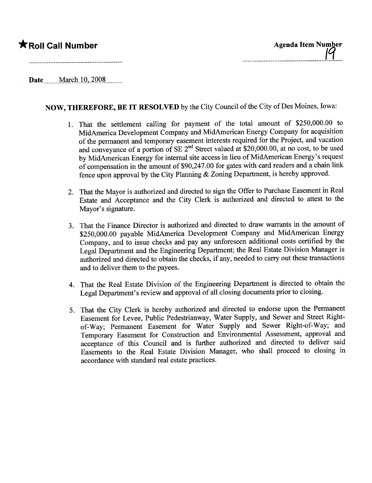## \*Roll Call Number

Date March 10, 2008

## NOW, THEREFORE, BE IT RESOLVED by the City Council of the City of Des Moines, Iowa:

- 1. That the settlement calling for payment of the total amount of \$250,000.00 to MidAmerica Development Company and MidAmerican Energy Company for acquisition of the permanent and temporary easement interests required for the Project, and vacation and conveyance of a portion of SE 2<sup>nd</sup> Street valued at \$20,000.00, at no cost, to be used by MidAmerican Energy for internal site access in lieu of MidAmerican Energy's request of compensation in the amount of \$90,247.00 for gates with card readers and a chain link fence upon approval by the City Planing & Zoning Deparment, is hereby approved.
- 2. That the Mayor is authorized and directed to sign the Offer to Purchase Easement in Real Estate and Acceptance and the City Clerk is authorized and directed to attest to the Mayor's signature.
- 3. That the Finance Director is authorized and directed to draw warants in the amount of \$250,000.00 payable MidAmerica Development Company and MidAmerican Energy Company, and to issue checks and pay any unforeseen additional costs certified by the Legal Deparment and the Engineering Department; the Real Estate Division Manager is authorized and directed to obtain the checks, if any, needed to carry out these transactions and to deliver them to the payees.
- 4. That the Real Estate Division of the Engineering Deparment is directed to obtain the Legal Deparment's review and approval of all closing documents prior to closing.
- 5. That the City Clerk is hereby authorized and directed to endorse upon the Permanent Easement for Levee, Public Pedestrianway, Water Supply, and Sewer and Street Rightof-Way; Permanent Easement for Water Supply and Sewer Right-of-Way; and Temporary Easement for Construction and Environmental Assessment, approval and acceptance of this Council and is further authorized and directed to deliver said Easements to the Real Estate Division Manager, who shall proceed to closing in accordance with standard real estate practices.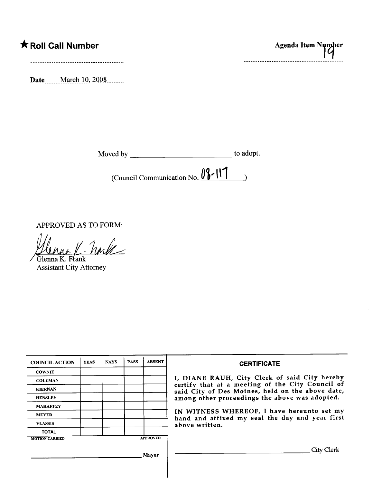# **K** Roll Call Number

Date March 10, 2008

| Moved by | to adopt. |
|----------|-----------|
|----------|-----------|

(Council Communication No.  $09$ -117  $\rightarrow$ 

APPROVED AS TO FORM:

norte Glenna K. Frank

**Assistant City Attorney** 

| <b>COUNCIL ACTION</b> | <b>YEAS</b> | <b>NAYS</b> | <b>PASS</b> | <b>ABSENT</b>   | <b>CERTIFICATE</b>                                                                                                                                                                                                                                                                                                         |
|-----------------------|-------------|-------------|-------------|-----------------|----------------------------------------------------------------------------------------------------------------------------------------------------------------------------------------------------------------------------------------------------------------------------------------------------------------------------|
| <b>COWNIE</b>         |             |             |             |                 | I, DIANE RAUH, City Clerk of said City hereby<br>certify that at a meeting of the City Council of<br>said City of Des Moines, held on the above date,<br>among other proceedings the above was adopted.<br>IN WITNESS WHEREOF, I have hereunto set my<br>hand and affixed my seal the day and year first<br>above written. |
| <b>COLEMAN</b>        |             |             |             |                 |                                                                                                                                                                                                                                                                                                                            |
| <b>KIERNAN</b>        |             |             |             |                 |                                                                                                                                                                                                                                                                                                                            |
| <b>HENSLEY</b>        |             |             |             |                 |                                                                                                                                                                                                                                                                                                                            |
| <b>MAHAFFEY</b>       |             |             |             |                 |                                                                                                                                                                                                                                                                                                                            |
| <b>MEYER</b>          |             |             |             |                 |                                                                                                                                                                                                                                                                                                                            |
| <b>VLASSIS</b>        |             |             |             |                 |                                                                                                                                                                                                                                                                                                                            |
| <b>TOTAL</b>          |             |             |             |                 |                                                                                                                                                                                                                                                                                                                            |
| <b>MOTION CARRIED</b> |             |             |             | <b>APPROVED</b> |                                                                                                                                                                                                                                                                                                                            |
| Mayor                 |             |             |             |                 | City Clerk                                                                                                                                                                                                                                                                                                                 |

Agenda Item Number ................................